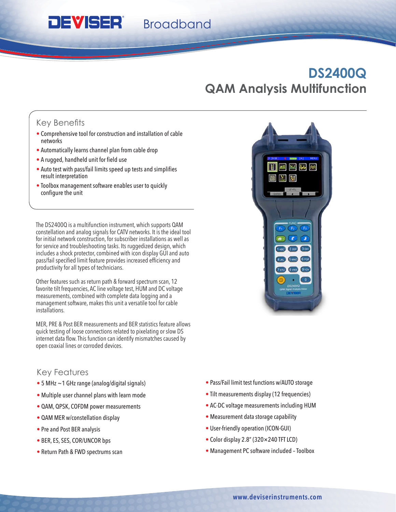**Broadband** 

# **DS2400Q QAM Analysis Multifunction**

# Key Benefits

- Comprehensive tool for construction and installation of cable networks
- Automatically learns channel plan from cable drop
- • A rugged, handheld unit for field use

**DEVISER®** 

- Auto test with pass/fail limits speed up tests and simplifies result interpretation
- Toolbox management software enables user to quickly configure the unit

The DS2400Q is a multifunction instrument, which supports QAM constellation and analog signals for CATV networks. It is the ideal tool for initial network construction, for subscriber installations as well as for service and troubleshooting tasks. Its ruggedized design, which includes a shock protector, combined with icon display GUI and auto pass/fail specified limit feature provides increased efficiency and productivity for all types of technicians.

Other features such as return path & forward spectrum scan, 12 favorite tilt frequencies, AC line voltage test, HUM and DC voltage measurements, combined with complete data logging and a management software, makes this unit a versatile tool for cable installations.

MER, PRE & Post BER measurements and BER statistics feature allows quick testing of loose connections related to pixelating or slow DS internet data flow. This function can identify mismatches caused by open coaxial lines or corroded devices.

## Key Features

- 5 MHz ~1 GHz range (analog/digital signals)
- Multiple user channel plans with learn mode
- QAM, QPSK, COFDM power measurements
- QAM MER w/constellation display
- Pre and Post BER analysis
- BER, ES, SES, COR/UNCOR bps
- Return Path & FWD spectrums scan
- Pass/Fail limit test functions w/AUTO storage
- Tilt measurements display (12 frequencies)
- AC-DC voltage measurements including HUM
- Measurement data storage capability
- User-friendly operation (ICON-GUI)
- Color display 2.8" (320×240 TFT LCD)
- Management PC software included Toolbox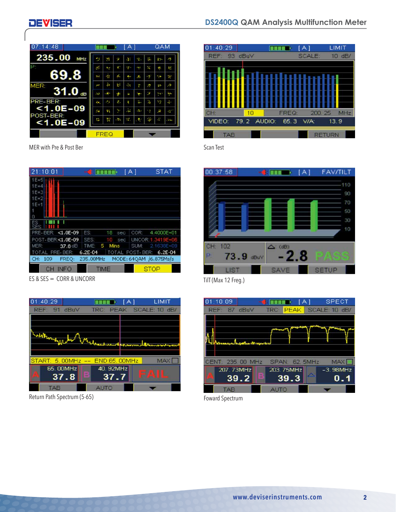## **DEVISER**



MER with Pre & Post Ber

| 21:10:01            |                    | STAT<br>ſА              |
|---------------------|--------------------|-------------------------|
| $1E+5$              |                    |                         |
| $1E+4$              |                    |                         |
| $1E + 3$            |                    |                         |
| $1E+2$              |                    |                         |
| $1E+1$              |                    |                         |
|                     |                    |                         |
| $\cup$              |                    |                         |
| <b>SES</b>          |                    |                         |
| PRE-BER: <1.0E-09   | ES:<br>18<br>sec   | 4.4000E+01<br>COR:      |
| POST-BER:<1.0E-09   | SES:<br>10<br>sec  | UNCOR: 1:3419E+06       |
| MER:<br>37.8 dB     | 5<br>Mins<br>TIME: | SUM:<br>2.1638E+09      |
| TOTAL PRE-BER:      | $6.2E - 04$        | TOTAL POST-BER: 6.2E-04 |
| FREQ:<br>CH:<br>109 | 235.00MHz          | MODE: 64QAM /6.875Ms/s  |
| <b>INFO</b>         | <b>TIME</b>        | STOP                    |

ES & SES = CORR & UNCORR



Return Path Spectrum (5-65)



Scan Test



TilT (Max 12 Freg.)



Foward Spectrum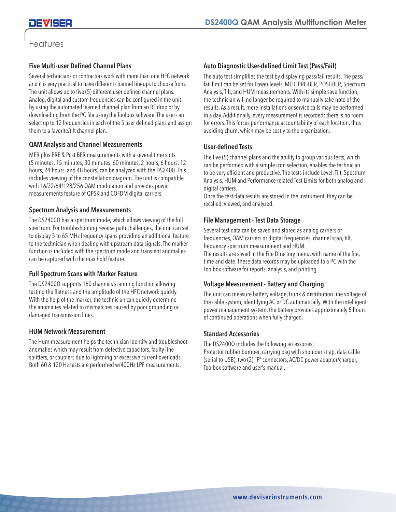# Features

## **Five Multi-user Defined Channel Plans**

Several technicians or contractors work with more than one HFC network and it is very practical to have different channel lineups to choose from. The unit allows up to five (5) different user defined channel plans. Analog, digital and custom frequencies can be configured in the unit by using the automated learned channel plan from an RF drop or by downloading from the PC file using the Toolbox software. The user can select up to 12 frequencies in each of the 5 user defined plans and assign them to a favorite/tilt channel plan.

## **QAM Analysis and Channel Measurements**

MER plus PRE & Post BER measurements with a several time slots (5 minutes, 15 minutes, 30 minutes, 60 minutes, 2 hours, 6 hours, 12 hours, 24 hours, and 48 hours) can be analyzed with the DS2400. This includes viewing of the constellation diagram. The unit is compatible with 16/32/64/128/256 QAM modulation and provides power measurements feature of QPSK and COFDM digital carriers.

## **Spectrum Analysis and Measurements**

The DS2400Q has a spectrum mode, which allows viewing of the full spectrum. For troubleshooting reverse path challenges, the unit can set to display 5 to 65 MHz frequency spans providing an additional feature to the technician when dealing with upstream data signals. The marker function is included with the spectrum mode and transient anomalies can be captured with the max hold feature.

## **Full Spectrum Scans with Marker Feature**

The DS2400Q supports 160 channels scanning function allowing testing the flatness and the amplitude of the HFC network quickly. With the help of the marker, the technician can quickly determine the anomalies related to mismatches caused by poor grounding or damaged transmission lines.

#### **HUM Network Measurement**

The Hum measurement helps the technician identify and troubleshoot anomalies which may result from defective capacitors, faulty line splitters, or couplers due to lightning or excessive current overloads. Both 60 & 120 Hz tests are performed w/400Hz LPF measurements.

#### **Auto Diagnostic User-defined Limit Test (Pass/Fail)**

The auto test simplifies the test by displaying pass/fail results. The pass/ fail limit can be set for Power levels, MER, PRE-BER, POST-BER, Spectrum Analysis, Tilt, and HUM measurements. With its simple save function, the technician will no longer be required to manually take note of the results. As a result, more installations or service calls may be performed in a day. Additionally, every measurement is recorded; there is no room for errors. This forces performance accountability of each location, thus avoiding churn, which may be costly to the organization.

#### **User-defined Tests**

The five (5) channel plans and the ability to group various tests, which can be performed with a simple icon selection, enables the technician to be very efficient and productive. The tests include Level, Tilt, Spectrum Analysis, HUM and Performance related Test Limits for both analog and digital carriers.

Once the test data results are stored in the instrument, they can be recalled, viewed, and analyzed.

#### **File Management - Test Data Storage**

Several test data can be saved and stored as analog carriers or frequencies, QAM carriers or digital frequencies, channel scan, tilt, frequency spectrum measurement and HUM.

The results are saved in the File Directory menu, with name of the file, time and date. These data records may be uploaded to a PC with the Toolbox software for reports, analysis, and printing.

#### **Voltage Measurement - Battery and Charging**

The unit can measure battery voltage, trunk & distribution line voltage of the cable system, identifying AC or DC automatically. With the intelligent power management system, the battery provides approximately 5 hours of continued operations when fully charged.

#### **Standard Accessories**

The DS2400Q includes the following accessories: Protector rubber bumper, carrying bag with shoulder strap, data cable (serial to USB), two (2) "F" connectors, AC/DC power adaptor/charger, Toolbox software and user's manual.